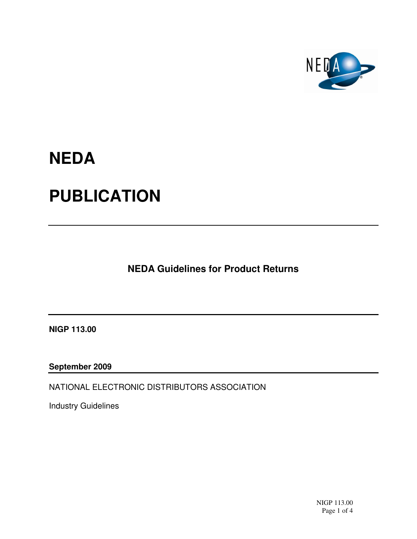

## **NEDA PUBLICATION**

**NEDA Guidelines for Product Returns**

**NIGP 113.00** 

**September 2009** 

NATIONAL ELECTRONIC DISTRIBUTORS ASSOCIATION

Industry Guidelines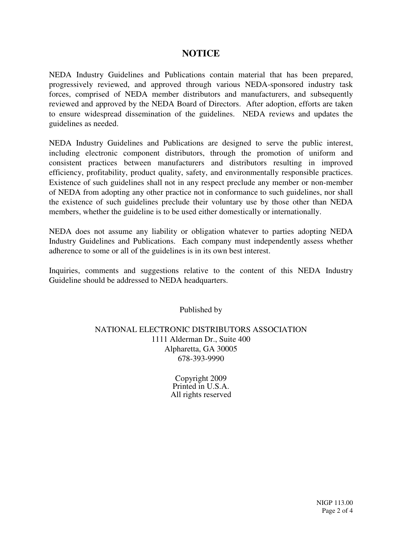## **NOTICE**

NEDA Industry Guidelines and Publications contain material that has been prepared, progressively reviewed, and approved through various NEDA-sponsored industry task forces, comprised of NEDA member distributors and manufacturers, and subsequently reviewed and approved by the NEDA Board of Directors. After adoption, efforts are taken to ensure widespread dissemination of the guidelines. NEDA reviews and updates the guidelines as needed.

NEDA Industry Guidelines and Publications are designed to serve the public interest, including electronic component distributors, through the promotion of uniform and consistent practices between manufacturers and distributors resulting in improved efficiency, profitability, product quality, safety, and environmentally responsible practices. Existence of such guidelines shall not in any respect preclude any member or non-member of NEDA from adopting any other practice not in conformance to such guidelines, nor shall the existence of such guidelines preclude their voluntary use by those other than NEDA members, whether the guideline is to be used either domestically or internationally.

NEDA does not assume any liability or obligation whatever to parties adopting NEDA Industry Guidelines and Publications. Each company must independently assess whether adherence to some or all of the guidelines is in its own best interest.

Inquiries, comments and suggestions relative to the content of this NEDA Industry Guideline should be addressed to NEDA headquarters.

Published by

## NATIONAL ELECTRONIC DISTRIBUTORS ASSOCIATION 1111 Alderman Dr., Suite 400 Alpharetta, GA 30005 678-393-9990

Copyright 2009 Printed in U.S.A. All rights reserved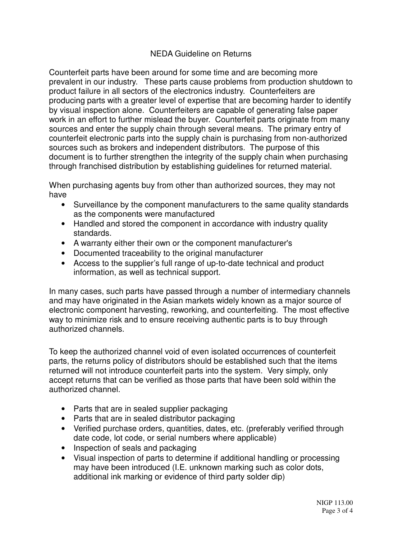## NEDA Guideline on Returns

Counterfeit parts have been around for some time and are becoming more prevalent in our industry. These parts cause problems from production shutdown to product failure in all sectors of the electronics industry. Counterfeiters are producing parts with a greater level of expertise that are becoming harder to identify by visual inspection alone. Counterfeiters are capable of generating false paper work in an effort to further mislead the buyer. Counterfeit parts originate from many sources and enter the supply chain through several means. The primary entry of counterfeit electronic parts into the supply chain is purchasing from non-authorized sources such as brokers and independent distributors. The purpose of this document is to further strengthen the integrity of the supply chain when purchasing through franchised distribution by establishing guidelines for returned material.

When purchasing agents buy from other than authorized sources, they may not have

- Surveillance by the component manufacturers to the same quality standards as the components were manufactured
- Handled and stored the component in accordance with industry quality standards.
- A warranty either their own or the component manufacturer's
- Documented traceability to the original manufacturer
- Access to the supplier's full range of up-to-date technical and product information, as well as technical support.

In many cases, such parts have passed through a number of intermediary channels and may have originated in the Asian markets widely known as a major source of electronic component harvesting, reworking, and counterfeiting. The most effective way to minimize risk and to ensure receiving authentic parts is to buy through authorized channels.

To keep the authorized channel void of even isolated occurrences of counterfeit parts, the returns policy of distributors should be established such that the items returned will not introduce counterfeit parts into the system. Very simply, only accept returns that can be verified as those parts that have been sold within the authorized channel.

- Parts that are in sealed supplier packaging
- Parts that are in sealed distributor packaging
- Verified purchase orders, quantities, dates, etc. (preferably verified through date code, lot code, or serial numbers where applicable)
- Inspection of seals and packaging
- Visual inspection of parts to determine if additional handling or processing may have been introduced (I.E. unknown marking such as color dots, additional ink marking or evidence of third party solder dip)